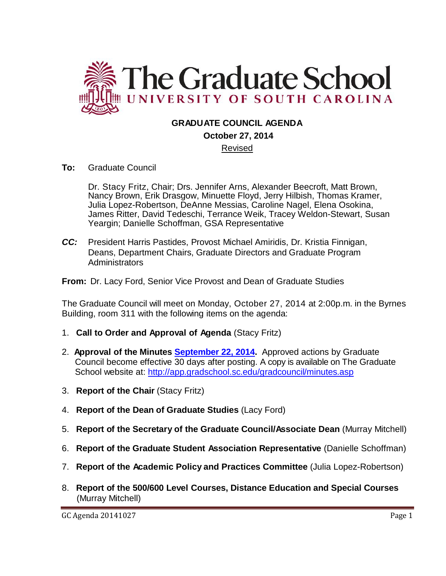

## **GRADUATE COUNCIL AGENDA**

#### **October 27, 2014**

#### Revised

**To:** Graduate Council

Dr. Stacy Fritz, Chair; Drs. Jennifer Arns, Alexander Beecroft, Matt Brown, Nancy Brown, Erik Drasgow, Minuette Floyd, Jerry Hilbish, Thomas Kramer, Julia Lopez-Robertson, DeAnne Messias, Caroline Nagel, Elena Osokina, James Ritter, David Tedeschi, Terrance Weik, Tracey Weldon-Stewart, Susan Yeargin; Danielle Schoffman, GSA Representative

*CC:* President Harris Pastides, Provost Michael Amiridis, Dr. Kristia Finnigan, Deans, Department Chairs, Graduate Directors and Graduate Program **Administrators** 

**From:** Dr. Lacy Ford, Senior Vice Provost and Dean of Graduate Studies

The Graduate Council will meet on Monday, October 27, 2014 at 2:00p.m. in the Byrnes Building, room 311 with the following items on the agenda:

- 1. **Call to Order and Approval of Agenda** (Stacy Fritz)
- 2. **Approval of the Minutes [September 22, 2014.](http://gradschool.sc.edu/facstaff/gradcouncil/2014/GC%20Minutes%209%2022%2014%20draft-REVISED3.pdf)** Approved actions by Graduate Council become effective 30 days after posting. A copy is available on The Graduate School website at:<http://app.gradschool.sc.edu/gradcouncil/minutes.asp>
- 3. **Report of the Chair** (Stacy Fritz)
- 4. **Report of the Dean of Graduate Studies** (Lacy Ford)
- 5. **Report of the Secretary of the Graduate Council/Associate Dean** (Murray Mitchell)
- 6. **Report of the Graduate Student Association Representative** (Danielle Schoffman)
- 7. **Report of the Academic Policy and Practices Committee** (Julia Lopez-Robertson)
- 8. **Report of the 500/600 Level Courses, Distance Education and Special Courses** (Murray Mitchell)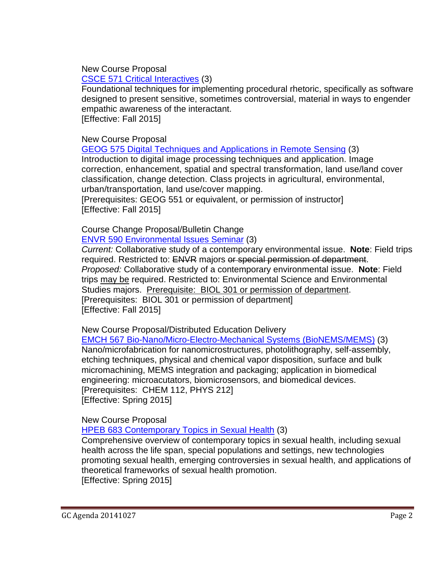New Course Proposal [CSCE 571 Critical Interactives](http://gradschool.sc.edu/facstaff/gradcouncil/2014/CSCE%20571_Redacted.pdf) (3)

Foundational techniques for implementing procedural rhetoric, specifically as software designed to present sensitive, sometimes controversial, material in ways to engender empathic awareness of the interactant. [Effective: Fall 2015]

New Course Proposal GEOG 575 [Digital Techniques and Applications in Remote Sensing](http://gradschool.sc.edu/facstaff/gradcouncil/2014/GEOG%20575%20NCP_Redacted1.pdf) (3) Introduction to digital image processing techniques and application. Image correction, enhancement, spatial and spectral transformation, land use/land cover classification, change detection. Class projects in agricultural, environmental, urban/transportation, land use/cover mapping.

[Prerequisites: GEOG 551 or equivalent, or permission of instructor] [Effective: Fall 2015]

Course Change Proposal/Bulletin Change [ENVR 590 Environmental Issues Seminar](http://gradschool.sc.edu/facstaff/gradcouncil/2014/ENVR%20590%20CCP_Redacted.pdf) (3)

*Current:* Collaborative study of a contemporary environmental issue. **Note**: Field trips required. Restricted to: ENVR majors or special permission of department. *Proposed:* Collaborative study of a contemporary environmental issue. **Note**: Field trips may be required. Restricted to: Environmental Science and Environmental

Studies majors. Prerequisite: BIOL 301 or permission of department.

[Prerequisites: BIOL 301 or permission of department] [Effective: Fall 2015]

New Course Proposal/Distributed Education Delivery

[EMCH 567 Bio-Nano/Micro-Electro-Mechanical Systems \(BioNEMS/MEMS\)](http://gradschool.sc.edu/facstaff/gradcouncil/2014/EMCH%20567%20BioNano_Redacted1.pdf) (3) Nano/microfabrication for nanomicrostructures, photolithography, self-assembly, etching techniques, physical and chemical vapor disposition, surface and bulk micromachining, MEMS integration and packaging; application in biomedical engineering: microacutators, biomicrosensors, and biomedical devices. [Prerequisites: CHEM 112, PHYS 212] [Effective: Spring 2015]

New Course Proposal

[HPEB 683 Contemporary Topics in Sexual Health](http://gradschool.sc.edu/facstaff/gradcouncil/2014/HPEB%20683%20NCP_Redacted.pdf) (3)

Comprehensive overview of contemporary topics in sexual health, including sexual health across the life span, special populations and settings, new technologies promoting sexual health, emerging controversies in sexual health, and applications of theoretical frameworks of sexual health promotion. [Effective: Spring 2015]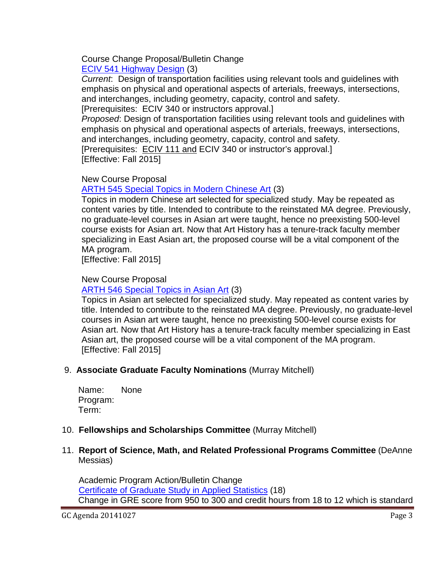Course Change Proposal/Bulletin Change [ECIV 541 Highway Design](http://gradschool.sc.edu/facstaff/gradcouncil/2014/ECIV%20541%20Highway%20Design_Redacted.pdf) (3)

*Current*: Design of transportation facilities using relevant tools and guidelines with emphasis on physical and operational aspects of arterials, freeways, intersections, and interchanges, including geometry, capacity, control and safety.

[Prerequisites: ECIV 340 or instructors approval.]

*Proposed*: Design of transportation facilities using relevant tools and guidelines with emphasis on physical and operational aspects of arterials, freeways, intersections, and interchanges, including geometry, capacity, control and safety.

[Prerequisites: ECIV 111 and ECIV 340 or instructor's approval.] [Effective: Fall 2015]

# New Course Proposal

ARTH 545 [Special Topics in Modern Chinese Art](http://gradschool.sc.edu/facstaff/gradcouncil/2014/ARTH%20545_Redacted1.pdf) (3)

Topics in modern Chinese art selected for specialized study. May be repeated as content varies by title. Intended to contribute to the reinstated MA degree. Previously, no graduate-level courses in Asian art were taught, hence no preexisting 500-level course exists for Asian art. Now that Art History has a tenure-track faculty member specializing in East Asian art, the proposed course will be a vital component of the MA program.

[Effective: Fall 2015]

### New Course Proposal

ARTH 546 [Special Topics in Asian Art](http://gradschool.sc.edu/facstaff/gradcouncil/2014/ARTH%20546_Redacted1.pdf) (3)

Topics in Asian art selected for specialized study. May repeated as content varies by title. Intended to contribute to the reinstated MA degree. Previously, no graduate-level courses in Asian art were taught, hence no preexisting 500-level course exists for Asian art. Now that Art History has a tenure-track faculty member specializing in East Asian art, the proposed course will be a vital component of the MA program. [Effective: Fall 2015]

# 9. **Associate Graduate Faculty Nominations** (Murray Mitchell)

Name: None Program: Term:

# 10. **Fellowships and Scholarships Committee** (Murray Mitchell)

### 11. **Report of Science, Math, and Related Professional Programs Committee** (DeAnne Messias)

 Academic Program Action/Bulletin Change Certificate [of Graduate Study in Applied Statistics](http://gradschool.sc.edu/facstaff/gradcouncil/2014/Certificate%20of%20Graduate%20Study%20in%20Applied%20Statistics%20APA_Redacted.pdf) (18) Change in GRE score from 950 to 300 and credit hours from 18 to 12 which is standard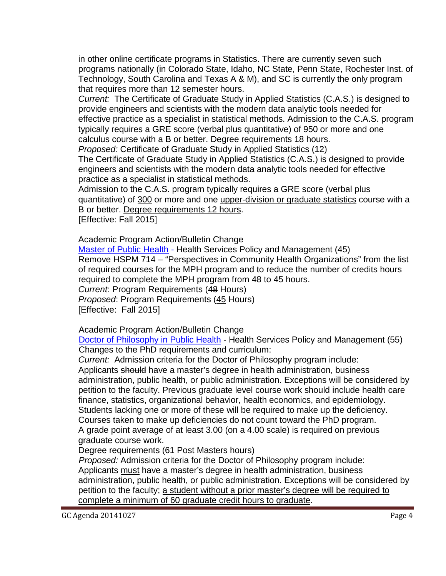in other online certificate programs in Statistics. There are currently seven such programs nationally (in Colorado State, Idaho, NC State, Penn State, Rochester Inst. of Technology, South Carolina and Texas A & M), and SC is currently the only program that requires more than 12 semester hours.

*Current:* The Certificate of Graduate Study in Applied Statistics (C.A.S.) is designed to provide engineers and scientists with the modern data analytic tools needed for effective practice as a specialist in statistical methods. Admission to the C.A.S. program typically requires a GRE score (verbal plus quantitative) of 950 or more and one calculus course with a B or better. Degree requirements 18 hours.

*Proposed:* Certificate of Graduate Study in Applied Statistics (12)

The Certificate of Graduate Study in Applied Statistics (C.A.S.) is designed to provide engineers and scientists with the modern data analytic tools needed for effective practice as a specialist in statistical methods.

Admission to the C.A.S. program typically requires a GRE score (verbal plus quantitative) of 300 or more and one upper-division or graduate statistics course with a B or better. Degree requirements 12 hours.

[Effective: Fall 2015]

Academic Program Action/Bulletin Change

 [Master of Public Health](http://gradschool.sc.edu/facstaff/gradcouncil/2014/Master%20of%20Public%20Health%20HSPM%20APA_Redacted1.pdf) - Health Services Policy and Management (45) Remove HSPM 714 – "Perspectives in Community Health Organizations" from the list of required courses for the MPH program and to reduce the number of credits hours required to complete the MPH program from 48 to 45 hours. *Current*: Program Requirements (48 Hours)

*Proposed*: Program Requirements (45 Hours)

[Effective: Fall 2015]

Academic Program Action/Bulletin Change

 [Doctor of Philosophy in Public Health](http://gradschool.sc.edu/facstaff/gradcouncil/2014/Doctor%20of%20Public%20Health%20HSPM%20APA_Redacted1.pdf) - Health Services Policy and Management (55) Changes to the PhD requirements and curriculum:

*Current:* Admission criteria for the Doctor of Philosophy program include: Applicants should have a master's degree in health administration, business administration, public health, or public administration. Exceptions will be considered by petition to the faculty. Previous graduate level course work should include health care finance, statistics, organizational behavior, health economics, and epidemiology. Students lacking one or more of these will be required to make up the deficiency. Courses taken to make up deficiencies do not count toward the PhD program. A grade point average of at least 3.00 (on a 4.00 scale) is required on previous graduate course work.

Degree requirements (61 Post Masters hours)

 *Proposed:* Admission criteria for the Doctor of Philosophy program include: Applicants must have a master's degree in health administration, business administration, public health, or public administration. Exceptions will be considered by petition to the faculty; a student without a prior master's degree will be required to complete a minimum of 60 graduate credit hours to graduate.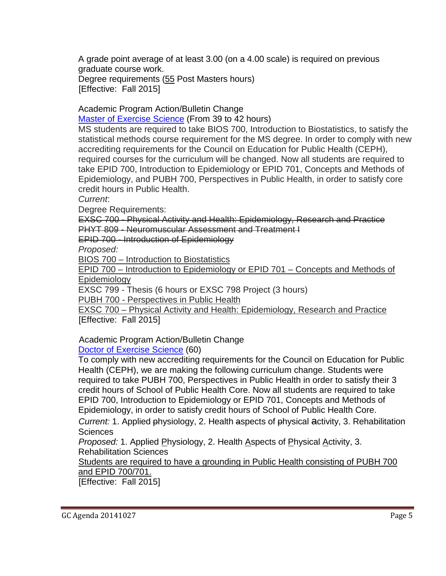A grade point average of at least 3.00 (on a 4.00 scale) is required on previous graduate course work. Degree requirements (55 Post Masters hours)

[Effective: Fall 2015]

Academic Program Action/Bulletin Change

[Master of Exercise Science](http://gradschool.sc.edu/facstaff/gradcouncil/2014/Master%20of%20EXSC%20APA_Redacted1.pdf) (From 39 to 42 hours)

MS students are required to take BIOS 700, Introduction to Biostatistics, to satisfy the statistical methods course requirement for the MS degree. In order to comply with new accrediting requirements for the Council on Education for Public Health (CEPH), required courses for the curriculum will be changed. Now all students are required to take EPID 700, Introduction to Epidemiology or EPID 701, Concepts and Methods of Epidemiology, and PUBH 700, Perspectives in Public Health, in order to satisfy core credit hours in Public Health.

*Current*:

Degree Requirements:

EXSC 700 - Physical Activity and Health: Epidemiology, Research and Practice PHYT 809 - Neuromuscular Assessment and Treatment I

EPID 700 - Introduction of Epidemiology

*Proposed:*

BIOS 700 – Introduction to Biostatistics

EPID 700 – Introduction to Epidemiology or EPID 701 – Concepts and Methods of Epidemiology

EXSC 799 - Thesis (6 hours or EXSC 798 Project (3 hours)

PUBH 700 - Perspectives in Public Health

EXSC 700 – Physical Activity and Health: Epidemiology, Research and Practice [Effective: Fall 2015]

Academic Program Action/Bulletin Change

[Doctor of Exercise Science](http://gradschool.sc.edu/facstaff/gradcouncil/2014/Doctor%20of%20EXSC%20APA_Redacted1.pdf) (60)

To comply with new accrediting requirements for the Council on Education for Public Health (CEPH), we are making the following curriculum change. Students were required to take PUBH 700, Perspectives in Public Health in order to satisfy their 3 credit hours of School of Public Health Core. Now all students are required to take EPID 700, Introduction to Epidemiology or EPID 701, Concepts and Methods of Epidemiology, in order to satisfy credit hours of School of Public Health Core.

*Current:* 1. Applied physiology, 2. Health aspects of physical activity, 3. Rehabilitation **Sciences** 

*Proposed:* 1. Applied Physiology, 2. Health Aspects of Physical Activity, 3. Rehabilitation Sciences

Students are required to have a grounding in Public Health consisting of PUBH 700 and EPID 700/701.

[Effective: Fall 2015]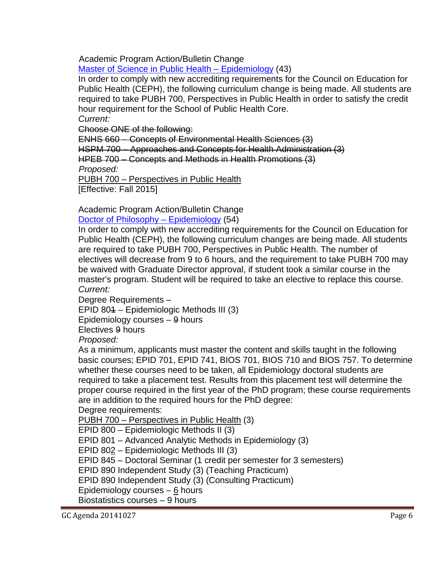Academic Program Action/Bulletin Change

[Master of Science in Public Health –](http://gradschool.sc.edu/facstaff/gradcouncil/2014/Master%20of%20Science%20in%20Public%20Health-Epi%20APA_Redacted.pdf) Epidemiology (43)

In order to comply with new accrediting requirements for the Council on Education for Public Health (CEPH), the following curriculum change is being made. All students are required to take PUBH 700, Perspectives in Public Health in order to satisfy the credit hour requirement for the School of Public Health Core.

*Current:*

Choose ONE of the following:

ENHS 660 – Concepts of Environmental Health Sciences (3)

HSPM 700 – Approaches and Concepts for Health Administration (3)

HPEB 700 – Concepts and Methods in Health Promotions (3)

 *Proposed:*

PUBH 700 - Perspectives in Public Health

[Effective: Fall 2015]

Academic Program Action/Bulletin Change

[Doctor of Philosophy](http://gradschool.sc.edu/facstaff/gradcouncil/2014/Doctor%20of%20Philosophy%20-%20Epidemiology%20APA%20_Redacted.pdf) – Epidemiology (54)

In order to comply with new accrediting requirements for the Council on Education for Public Health (CEPH), the following curriculum changes are being made. All students are required to take PUBH 700, Perspectives in Public Health. The number of electives will decrease from 9 to 6 hours, and the requirement to take PUBH 700 may be waived with Graduate Director approval, if student took a similar course in the master's program. Student will be required to take an elective to replace this course. *Current:*

Degree Requirements –

EPID 804 – Epidemiologic Methods III (3)

Epidemiology courses – 9 hours

Electives 9 hours

 *Proposed:*

As a minimum, applicants must master the content and skills taught in the following basic courses; EPID 701, EPID 741, BIOS 701, BIOS 710 and BIOS 757. To determine whether these courses need to be taken, all Epidemiology doctoral students are required to take a placement test. Results from this placement test will determine the proper course required in the first year of the PhD program; these course requirements are in addition to the required hours for the PhD degree:

Degree requirements:

PUBH 700 – Perspectives in Public Health (3)

EPID 800 – Epidemiologic Methods II (3) EPID 801 – Advanced Analytic Methods in Epidemiology (3) EPID 802 – Epidemiologic Methods III (3) EPID 845 – Doctoral Seminar (1 credit per semester for 3 semesters) EPID 890 Independent Study (3) (Teaching Practicum) EPID 890 Independent Study (3) (Consulting Practicum) Epidemiology courses – 6 hours

Biostatistics courses – 9 hours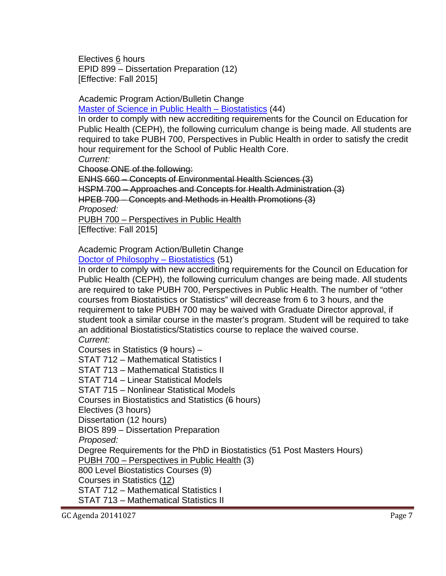Electives 6 hours EPID 899 – Dissertation Preparation (12) [Effective: Fall 2015]

Academic Program Action/Bulletin Change

[Master of Science in Public Health –](http://gradschool.sc.edu/facstaff/gradcouncil/2014/Master%20of%20Science%20BIOS%20APA_Redacted1.pdf) Biostatistics (44)

In order to comply with new accrediting requirements for the Council on Education for Public Health (CEPH), the following curriculum change is being made. All students are required to take PUBH 700, Perspectives in Public Health in order to satisfy the credit hour requirement for the School of Public Health Core. *Current:*

Choose ONE of the following:

ENHS 660 – Concepts of Environmental Health Sciences (3)

HSPM 700 – Approaches and Concepts for Health Administration (3)

HPEB 700 – Concepts and Methods in Health Promotions (3)

 *Proposed:*

PUBH 700 – Perspectives in Public Health

[Effective: Fall 2015]

Academic Program Action/Bulletin Change [Doctor of Philosophy](http://gradschool.sc.edu/facstaff/gradcouncil/2014/Doctor%20of%20Philosophy%20-%20Biostatistics%20APA_Redacted1_Redacted.pdf) – Biostatistics (51)

In order to comply with new accrediting requirements for the Council on Education for Public Health (CEPH), the following curriculum changes are being made. All students are required to take PUBH 700, Perspectives in Public Health. The number of "other courses from Biostatistics or Statistics" will decrease from 6 to 3 hours, and the requirement to take PUBH 700 may be waived with Graduate Director approval, if student took a similar course in the master's program. Student will be required to take an additional Biostatistics/Statistics course to replace the waived course. *Current:*

Courses in Statistics (9 hours) –

STAT 712 – Mathematical Statistics I STAT 713 – Mathematical Statistics II STAT 714 – Linear Statistical Models STAT 715 – Nonlinear Statistical Models Courses in Biostatistics and Statistics (6 hours) Electives (3 hours) Dissertation (12 hours) BIOS 899 – Dissertation Preparation  *Proposed:*

Degree Requirements for the PhD in Biostatistics (51 Post Masters Hours) PUBH 700 – Perspectives in Public Health (3)

800 Level Biostatistics Courses (9)

Courses in Statistics (12)

STAT 712 – Mathematical Statistics I

STAT 713 – Mathematical Statistics II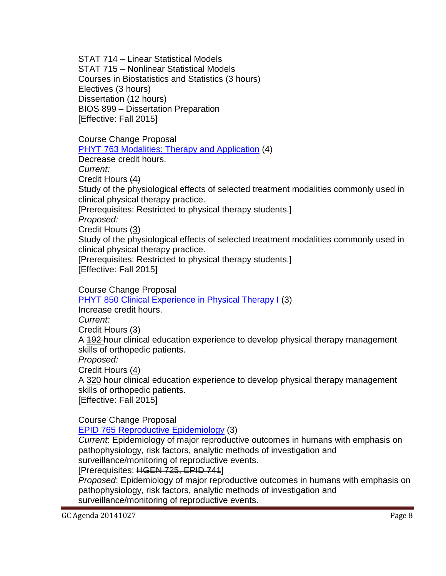STAT 714 – Linear Statistical Models STAT 715 – Nonlinear Statistical Models Courses in Biostatistics and Statistics (3 hours) Electives (3 hours) Dissertation (12 hours) BIOS 899 – Dissertation Preparation [Effective: Fall 2015]

Course Change Proposal

[PHYT 763 Modalities: Therapy and Application](http://gradschool.sc.edu/facstaff/gradcouncil/2014/PHYT%20763%20CCP_Redacted1.pdf) (4)

Decrease credit hours.

*Current:*

Credit Hours (4)

Study of the physiological effects of selected treatment modalities commonly used in clinical physical therapy practice.

[Prerequisites: Restricted to physical therapy students.]

*Proposed:*

Credit Hours (3)

Study of the physiological effects of selected treatment modalities commonly used in clinical physical therapy practice.

[Prerequisites: Restricted to physical therapy students.] [Effective: Fall 2015]

Course Change Proposal

[PHYT 850 Clinical Experience in Physical Therapy](http://gradschool.sc.edu/facstaff/gradcouncil/2014/PHYT%20850%20CCP_Redacted1.pdf) I (3)

Increase credit hours.

### *Current:*

Credit Hours (3)

A 192-hour clinical education experience to develop physical therapy management skills of orthopedic patients.

*Proposed:*

Credit Hours (4)

A 320 hour clinical education experience to develop physical therapy management skills of orthopedic patients.

[Effective: Fall 2015]

Course Change Proposal

[EPID 765 Reproductive Epidemiology](http://gradschool.sc.edu/facstaff/gradcouncil/2014/EPID%20765%20CCP_Redacted2.pdf) (3)

*Current*: Epidemiology of major reproductive outcomes in humans with emphasis on pathophysiology, risk factors, analytic methods of investigation and surveillance/monitoring of reproductive events.

[Prerequisites: HGEN 725, EPID 741]

*Proposed*: Epidemiology of major reproductive outcomes in humans with emphasis on pathophysiology, risk factors, analytic methods of investigation and surveillance/monitoring of reproductive events.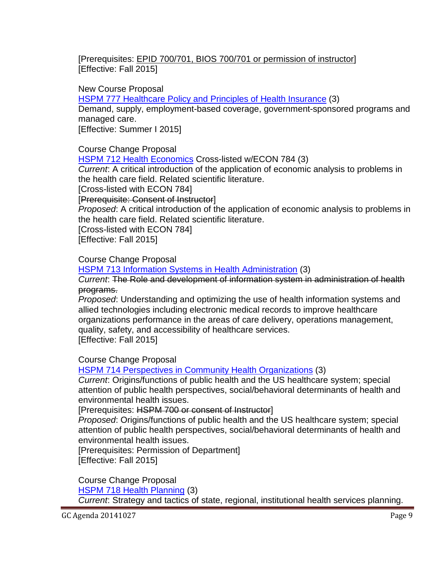[Prerequisites: EPID 700/701, BIOS 700/701 or permission of instructor] [Effective: Fall 2015]

New Course Proposal

HSPM 777 [Healthcare Policy and Principles of Health Insurance](http://gradschool.sc.edu/facstaff/gradcouncil/2014/HSPM%20777%20NCP_Redacted1.pdf) (3)

Demand, supply, employment-based coverage, government-sponsored programs and managed care.

[Effective: Summer I 2015]

Course Change Proposal

HSPM 712 [Health Economics](http://gradschool.sc.edu/facstaff/gradcouncil/2014/HSPM%20712%20CCP%20_Redacted1.pdf) Cross-listed w/ECON 784 (3)

*Current*: A critical introduction of the application of economic analysis to problems in the health care field. Related scientific literature.

[Cross-listed with ECON 784]

[Prerequisite: Consent of Instructor]

*Proposed*: A critical introduction of the application of economic analysis to problems in the health care field. Related scientific literature.

[Cross-listed with ECON 784] [Effective: Fall 2015]

Course Change Proposal

HSPM 713 [Information Systems in Health](http://gradschool.sc.edu/facstaff/gradcouncil/2014/HSPM%20713%20CCP_Redacted1.pdf) Administration (3)

*Current*: The Role and development of information system in administration of health programs.

*Proposed*: Understanding and optimizing the use of health information systems and allied technologies including electronic medical records to improve healthcare organizations performance in the areas of care delivery, operations management, quality, safety, and accessibility of healthcare services. [Effective: Fall 2015]

Course Change Proposal

HSPM 714 [Perspectives in Community Health Organizations](http://gradschool.sc.edu/facstaff/gradcouncil/2014/HSPM%20714%20CCP_Redacted1.pdf) (3)

*Current*: Origins/functions of public health and the US healthcare system; special attention of public health perspectives, social/behavioral determinants of health and environmental health issues.

[Prerequisites: HSPM 700 or consent of Instructor]

*Proposed*: Origins/functions of public health and the US healthcare system; special attention of public health perspectives, social/behavioral determinants of health and environmental health issues.

[Prerequisites: Permission of Department] [Effective: Fall 2015]

Course Change Proposal HSPM 718 [Health Planning](http://gradschool.sc.edu/facstaff/gradcouncil/2014/HSPM%20718%20CCP_Redacted1.pdf) (3) *Current*: Strategy and tactics of state, regional, institutional health services planning.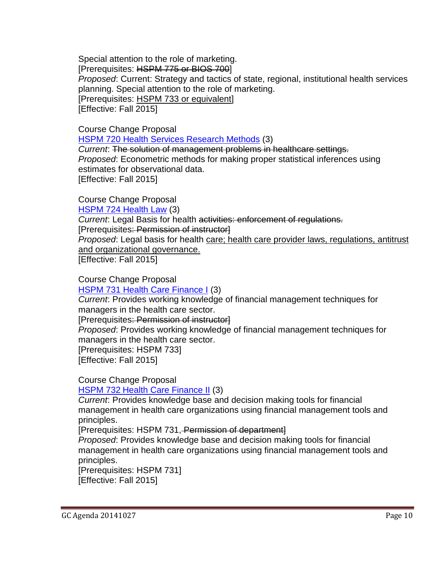Special attention to the role of marketing. [Prerequisites: HSPM 775 or BIOS 700] *Proposed*: Current: Strategy and tactics of state, regional, institutional health services planning. Special attention to the role of marketing. [Prerequisites: HSPM 733 or equivalent] [Effective: Fall 2015]

Course Change Proposal HSPM 720 [Health Services Research Methods](http://gradschool.sc.edu/facstaff/gradcouncil/2014/HSPM%20720%20ccp_Redacted1.pdf) (3) *Current*: The solution of management problems in healthcare settings. *Proposed*: Econometric methods for making proper statistical inferences using estimates for observational data. [Effective: Fall 2015]

Course Change Proposal

HSPM 724 [Health Law](http://gradschool.sc.edu/facstaff/gradcouncil/2014/HSPM%20724%20CCP_Redacted1.pdf) (3)

*Current*: Legal Basis for health activities: enforcement of regulations. [Prerequisites: Permission of instructor] *Proposed*: Legal basis for health care; health care provider laws, regulations, antitrust and organizational governance.

[Effective: Fall 2015]

Course Change Proposal HSPM 731 [Health Care Finance I](http://gradschool.sc.edu/facstaff/gradcouncil/2014/HSPM%20731%20CCP_Redacted1.pdf) (3)

*Current*: Provides working knowledge of financial management techniques for managers in the health care sector.

[Prerequisites: Permission of instructor]

*Proposed*: Provides working knowledge of financial management techniques for managers in the health care sector.

[Prerequisites: HSPM 733] [Effective: Fall 2015]

Course Change Proposal

HSPM 732 [Health Care Finance II](http://gradschool.sc.edu/facstaff/gradcouncil/2014/HSPM%20732%20CCP_Redacted1pdf.pdf) (3)

*Current*: Provides knowledge base and decision making tools for financial management in health care organizations using financial management tools and principles.

[Prerequisites: HSPM 731, Permission of department]

*Proposed*: Provides knowledge base and decision making tools for financial management in health care organizations using financial management tools and principles.

[Prerequisites: HSPM 731] [Effective: Fall 2015]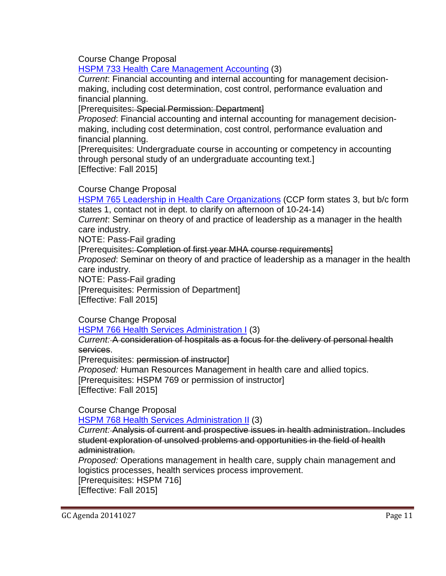### Course Change Proposal

HSPM 733 [Health Care Management Accounting](http://gradschool.sc.edu/facstaff/gradcouncil/2014/HSPM%20733%20CCP_Redacted1.pdf) (3)

*Current*: Financial accounting and internal accounting for management decisionmaking, including cost determination, cost control, performance evaluation and financial planning.

#### [Prerequisites: Special Permission: Department]

*Proposed*: Financial accounting and internal accounting for management decisionmaking, including cost determination, cost control, performance evaluation and financial planning.

[Prerequisites: Undergraduate course in accounting or competency in accounting through personal study of an undergraduate accounting text.] [Effective: Fall 2015]

### Course Change Proposal

HSPM 765 [Leadership in Health Care Organizations](http://gradschool.sc.edu/facstaff/gradcouncil/2014/HSPM%20765%20CCP_Redacted1.pdf) (CCP form states 3, but b/c form states 1, contact not in dept. to clarify on afternoon of 10-24-14)

*Current*: Seminar on theory of and practice of leadership as a manager in the health care industry.

NOTE: Pass-Fail grading

[Prerequisites: Completion of first year MHA course requirements]

*Proposed*: Seminar on theory of and practice of leadership as a manager in the health care industry.

NOTE: Pass-Fail grading

[Prerequisites: Permission of Department]

[Effective: Fall 2015]

Course Change Proposal

HSPM 766 [Health Services Administration I](http://gradschool.sc.edu/facstaff/gradcouncil/2014/HSPM%20766%20ccp_Redacted1.pdf) (3)

*Current:* A consideration of hospitals as a focus for the delivery of personal health services.

[Prerequisites: permission of instructor]

*Proposed:* Human Resources Management in health care and allied topics. [Prerequisites: HSPM 769 or permission of instructor] [Effective: Fall 2015]

Course Change Proposal

HSPM 768 [Health Services Administration II](http://gradschool.sc.edu/facstaff/gradcouncil/2014/HSPM%20768%20CCP_Redacted1.pdf) (3)

*Current:* Analysis of current and prospective issues in health administration. Includes student exploration of unsolved problems and opportunities in the field of health administration.

*Proposed:* Operations management in health care, supply chain management and logistics processes, health services process improvement. [Prerequisites: HSPM 716] [Effective: Fall 2015]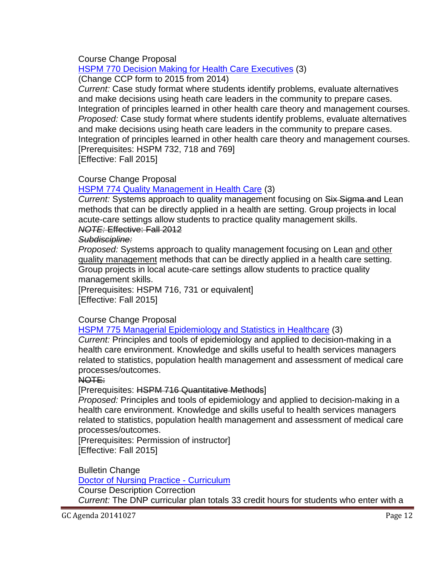Course Change Proposal

HSPM 770 [Decision Making for Health Care Executives](http://gradschool.sc.edu/facstaff/gradcouncil/2014/HSPM%20770%20CCP_Redacted1.pdf) (3)

(Change CCP form to 2015 from 2014)

*Current:* Case study format where students identify problems, evaluate alternatives and make decisions using heath care leaders in the community to prepare cases. Integration of principles learned in other health care theory and management courses. *Proposed:* Case study format where students identify problems, evaluate alternatives and make decisions using heath care leaders in the community to prepare cases. Integration of principles learned in other health care theory and management courses. [Prerequisites: HSPM 732, 718 and 769]

[Effective: Fall 2015]

### Course Change Proposal

HSPM 774 [Quality Management in Health Care](http://gradschool.sc.edu/facstaff/gradcouncil/2014/HSPM%20774%20CCP_Redacted1.pdf) (3)

*Current:* Systems approach to quality management focusing on Six Sigma and Lean methods that can be directly applied in a health are setting. Group projects in local acute-care settings allow students to practice quality management skills. *NOTE:* Effective: Fall 2012

*Subdiscipline:*

*Proposed:* Systems approach to quality management focusing on Lean and other quality management methods that can be directly applied in a health care setting. Group projects in local acute-care settings allow students to practice quality management skills.

[Prerequisites: HSPM 716, 731 or equivalent] [Effective: Fall 2015]

### Course Change Proposal

HSPM 775 [Managerial Epidemiology and Statistics in Healthcare](http://gradschool.sc.edu/facstaff/gradcouncil/2014/HSPM%20775%20CCP_Redacted1.pdf) (3)

*Current:* Principles and tools of epidemiology and applied to decision-making in a health care environment. Knowledge and skills useful to health services managers related to statistics, population health management and assessment of medical care processes/outcomes.

NOTE:

[Prerequisites: HSPM 716 Quantitative Methods]

*Proposed:* Principles and tools of epidemiology and applied to decision-making in a health care environment. Knowledge and skills useful to health services managers related to statistics, population health management and assessment of medical care processes/outcomes.

[Prerequisites: Permission of instructor] [Effective: Fall 2015]

Bulletin Change

[Doctor of Nursing Practice -](http://gradschool.sc.edu/facstaff/gradcouncil/2014/Doctor%20of%20Nursing%20Practice%20BCH_Redacted.pdf) Curriculum

Course Description Correction

*Current:* The DNP curricular plan totals 33 credit hours for students who enter with a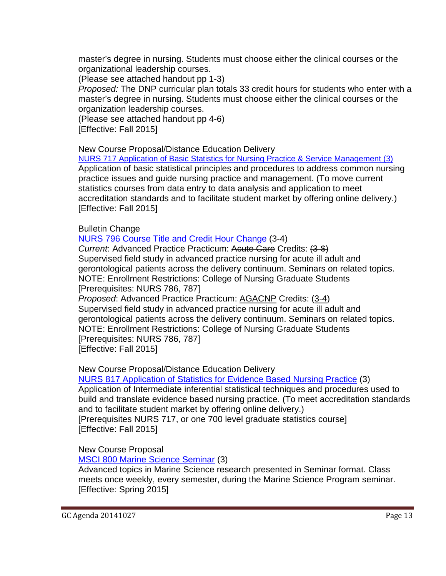master's degree in nursing. Students must choose either the clinical courses or the organizational leadership courses.

(Please see attached handout pp 1-3)

*Proposed:* The DNP curricular plan totals 33 credit hours for students who enter with a master's degree in nursing. Students must choose either the clinical courses or the organization leadership courses.

(Please see attached handout pp 4-6) [Effective: Fall 2015]

New Course Proposal/Distance Education Delivery

[NURS 717 Application of Basic Statistics for Nursing Practice & Service Management](http://gradschool.sc.edu/facstaff/gradcouncil/2014/Nursing%20717%20NCP_Redacted1.pdf) (3) Application of basic statistical principles and procedures to address common nursing practice issues and guide nursing practice and management. (To move current statistics courses from data entry to data analysis and application to meet accreditation standards and to facilitate student market by offering online delivery.) [Effective: Fall 2015]

Bulletin Change

NURS 796 Course [Title and Credit Hour Change](http://gradschool.sc.edu/facstaff/gradcouncil/2014/NURS%20796%20BCH_Redacted.pdf) (3-4)

**Current: Advanced Practice Practicum: Acute Care Credits: (3-\$)** Supervised field study in advanced practice nursing for acute ill adult and gerontological patients across the delivery continuum. Seminars on related topics. NOTE: Enrollment Restrictions: College of Nursing Graduate Students [Prerequisites: NURS 786, 787] *Proposed*: Advanced Practice Practicum: AGACNP Credits: (3-4)

Supervised field study in advanced practice nursing for acute ill adult and gerontological patients across the delivery continuum. Seminars on related topics. NOTE: Enrollment Restrictions: College of Nursing Graduate Students [Prerequisites: NURS 786, 787] [Effective: Fall 2015]

New Course Proposal/Distance Education Delivery

[NURS 817 Application of Statistics for Evidence Based Nursing Practice](http://gradschool.sc.edu/facstaff/gradcouncil/2014/Nursing%20817%20NCP_Redacted1.pdf) (3) Application of Intermediate inferential statistical techniques and procedures used to build and translate evidence based nursing practice. (To meet accreditation standards and to facilitate student market by offering online delivery.) [Prerequisites NURS 717, or one 700 level graduate statistics course] [Effective: Fall 2015]

New Course Proposal

MSCI 800 [Marine Science Seminar](http://gradschool.sc.edu/facstaff/gradcouncil/2014/MSCI%20800%20NCP_Redacted2.pdf) (3)

Advanced topics in Marine Science research presented in Seminar format. Class meets once weekly, every semester, during the Marine Science Program seminar. [Effective: Spring 2015]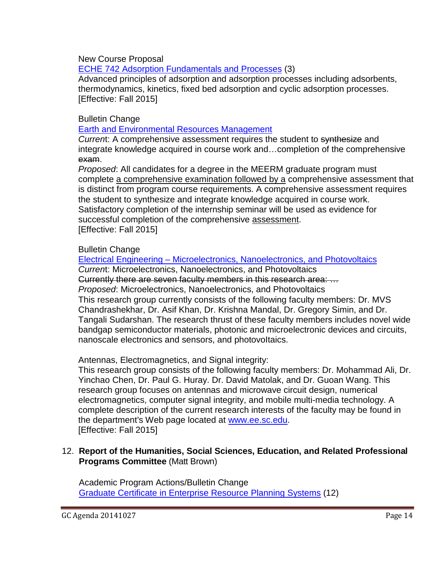New Course Proposal

ECHE 742 [Adsorption Fundamentals and Processes](http://gradschool.sc.edu/facstaff/gradcouncil/2014/ECHE%20742%20NCP_Redacted2.pdf) (3)

Advanced principles of adsorption and adsorption processes including adsorbents, thermodynamics, kinetics, fixed bed adsorption and cyclic adsorption processes. [Effective: Fall 2015]

### Bulletin Change

[Earth and Environmental Resources Management](http://gradschool.sc.edu/facstaff/gradcouncil/2014/MEERM%20BCH_Redacted.pdf)

*Curren*t: A comprehensive assessment requires the student to synthesize and integrate knowledge acquired in course work and…completion of the comprehensive exam.

*Proposed*: All candidates for a degree in the MEERM graduate program must complete a comprehensive examination followed by a comprehensive assessment that is distinct from program course requirements. A comprehensive assessment requires the student to synthesize and integrate knowledge acquired in course work. Satisfactory completion of the internship seminar will be used as evidence for successful completion of the comprehensive assessment. [Effective: Fall 2015]

Bulletin Change

Electrical Engineering – [Microelectronics, Nanoelectronics, and Photovoltaics](http://gradschool.sc.edu/facstaff/gradcouncil/2014/Electrical%20Engineering%20BCH%209262014_Redacted.pdf)

*Curren*t: Microelectronics, Nanoelectronics, and Photovoltaics

Currently there are seven faculty members in this research area: …

*Proposed*: Microelectronics, Nanoelectronics, and Photovoltaics

This research group currently consists of the following faculty members: Dr. MVS Chandrashekhar, Dr. Asif Khan, Dr. Krishna Mandal, Dr. Gregory Simin, and Dr. Tangali Sudarshan. The research thrust of these faculty members includes novel wide bandgap semiconductor materials, photonic and microelectronic devices and circuits, nanoscale electronics and sensors, and photovoItaics.

Antennas, Electromagnetics, and Signal integrity:

This research group consists of the following faculty members: Dr. Mohammad Ali, Dr. Yinchao Chen, Dr. Paul G. Huray. Dr. David Matolak, and Dr. Guoan Wang. This research group focuses on antennas and microwave circuit design, numerical electromagnetics, computer signal integrity, and mobile multi-media technology. A complete description of the current research interests of the faculty may be found in the department's Web page located at [www.ee.sc.edu.](http://www.ee.sc.edu/) [Effective: Fall 2015]

### 12. **Report of the Humanities, Social Sciences, Education, and Related Professional Programs Committee** (Matt Brown)

 Academic Program Actions/Bulletin Change [Graduate Certificate in Enterprise Resource Planning Systems](http://gradschool.sc.edu/facstaff/gradcouncil/2014/Certificate%20in%20Business%20ERPS%20APA%20BCH_Redacted1.pdf) (12)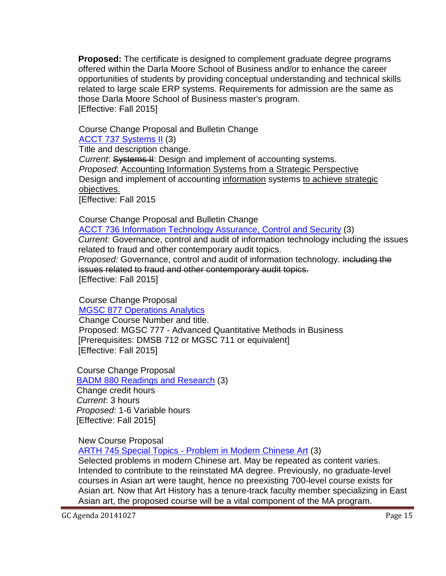**Proposed:** The certificate is designed to complement graduate degree programs offered within the Darla Moore School of Business and/or to enhance the career opportunities of students by providing conceptual understanding and technical skills related to large scale ERP systems. Requirements for admission are the same as those Darla Moore School of Business master's program. [Effective: Fall 2015]

Course Change Proposal and Bulletin Change

[ACCT 737 Systems II](http://gradschool.sc.edu/facstaff/gradcouncil/2014/ACCT%20737%20Systems%20II_Redacted2.pdf) (3)

Title and description change.

 *Current*: Systems II: Design and implement of accounting systems. *Proposed*: Accounting Information Systems from a Strategic Perspective Design and implement of accounting information systems to achieve strategic objectives.

[Effective: Fall 2015

Course Change Proposal and Bulletin Change

[ACCT 736 Information Technology Assurance, Control and Security](http://gradschool.sc.edu/facstaff/gradcouncil/2014/ACCT%20737%20Systems%20II_Redacted2.pdf) (3)

*Current:* Governance, control and audit of information technology including the issues related to fraud and other contemporary audit topics.

*Proposed:* Governance, control and audit of information technology. including the issues related to fraud and other contemporary audit topics.

[Effective: Fall 2015]

Course Change Proposal

 [MGSC 877 Operations Analytics](http://gradschool.sc.edu/facstaff/gradcouncil/2014/MGSC%20877%20CCP_Redacted1.pdf) Change Course Number and title.

 Proposed: MGSC 777 - Advanced Quantitative Methods in Business [Prerequisites: DMSB 712 or MGSC 711 or equivalent] [Effective: Fall 2015]

 Course Change Proposal [BADM 880 Readings and Research](http://gradschool.sc.edu/facstaff/gradcouncil/2014/BADM%20880%20CCP_Redacted.pdf) (3) Change credit hours *Current*: 3 hours *Proposed*: 1-6 Variable hours [Effective: Fall 2015]

New Course Proposal

ARTH 745 Special Topics - [Problem in Modern Chinese Art](http://gradschool.sc.edu/facstaff/gradcouncil/2014/ARTH%20745%20NCP%20corrected%20September%2018%202014_Redacted.pdf) (3)

Selected problems in modern Chinese art. May be repeated as content varies. Intended to contribute to the reinstated MA degree. Previously, no graduate-level courses in Asian art were taught, hence no preexisting 700-level course exists for Asian art. Now that Art History has a tenure-track faculty member specializing in East Asian art, the proposed course will be a vital component of the MA program.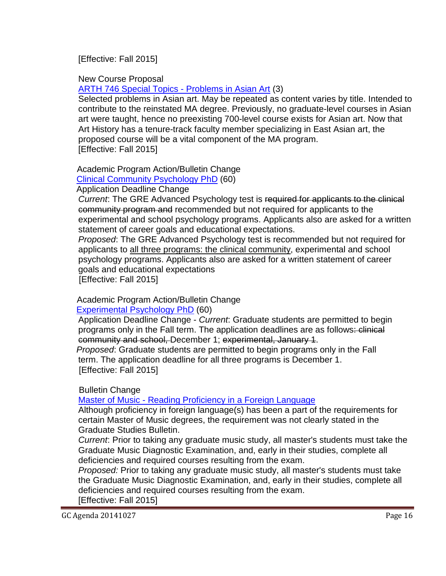[Effective: Fall 2015]

New Course Proposal

[ARTH 746 Special Topics -](http://gradschool.sc.edu/facstaff/gradcouncil/2014/ARTH%20746%20NCP%20Special%20Topics%20Probs%20Asian%20Art_Redacted.pdf) Problems in Asian Art (3)

Selected problems in Asian art. May be repeated as content varies by title. Intended to contribute to the reinstated MA degree. Previously, no graduate-level courses in Asian art were taught, hence no preexisting 700-level course exists for Asian art. Now that Art History has a tenure-track faculty member specializing in East Asian art, the proposed course will be a vital component of the MA program. [Effective: Fall 2015]

Academic Program Action/Bulletin Change

 [Clinical Community Psychology PhD](http://gradschool.sc.edu/facstaff/gradcouncil/2014/Clinical%20Community%20Psychology%20PhD%20APA_Redacted1.pdf) (60)

Application Deadline Change

*Current*: The GRE Advanced Psychology test is required for applicants to the clinical community program and recommended but not required for applicants to the experimental and school psychology programs. Applicants also are asked for a written statement of career goals and educational expectations.

*Proposed*: The GRE Advanced Psychology test is recommended but not required for applicants to all three programs: the clinical community, experimental and school psychology programs. Applicants also are asked for a written statement of career goals and educational expectations

[Effective: Fall 2015]

Academic Program Action/Bulletin Change

[Experimental Psychology PhD](http://gradschool.sc.edu/facstaff/gradcouncil/2014/Experimental%20Psychology%20PhD%20APA_Redacted1.pdf) (60)

Application Deadline Change - *Current*: Graduate students are permitted to begin programs only in the Fall term. The application deadlines are as follows: clinical community and school, December 1; experimental, January 1.

 *Proposed*: Graduate students are permitted to begin programs only in the Fall term. The application deadline for all three programs is December 1. [Effective: Fall 2015]

Bulletin Change

Master of Music - [Reading Proficiency in a Foreign Language](http://gradschool.sc.edu/facstaff/gradcouncil/2014/Master%20of%20Music%20Reading%20Proficiency%20revised%209-25-14.pdf)

Although proficiency in foreign language(s) has been a part of the requirements for certain Master of Music degrees, the requirement was not clearly stated in the Graduate Studies Bulletin.

*Current*: Prior to taking any graduate music study, all master's students must take the Graduate Music Diagnostic Examination, and, early in their studies, complete all deficiencies and required courses resulting from the exam.

*Proposed:* Prior to taking any graduate music study, all master's students must take the Graduate Music Diagnostic Examination, and, early in their studies, complete all deficiencies and required courses resulting from the exam.

[Effective: Fall 2015]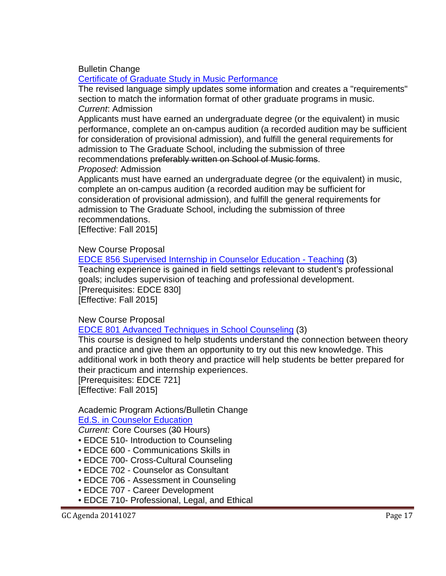### Bulletin Change

## [Certificate of Graduate Study in Music Performance](http://gradschool.sc.edu/facstaff/gradcouncil/2014/Certificate%20of%20Graduate%20Study%20in%20Music%20Performance%20BCH_Redacted%20revised%209-25-14.pdf)

The revised language simply updates some information and creates a "requirements" section to match the information format of other graduate programs in music. *Current*: Admission

Applicants must have earned an undergraduate degree (or the equivalent) in music performance, complete an on-campus audition (a recorded audition may be sufficient for consideration of provisional admission), and fulfill the general requirements for admission to The Graduate School, including the submission of three recommendations preferably written on School of Music forms.

*Proposed*: Admission

Applicants must have earned an undergraduate degree (or the equivalent) in music, complete an on-campus audition (a recorded audition may be sufficient for consideration of provisional admission), and fulfill the general requirements for admission to The Graduate School, including the submission of three recommendations.

[Effective: Fall 2015]

New Course Proposal

EDCE 856 [Supervised Internship in Counselor Education -](http://gradschool.sc.edu/facstaff/gradcouncil/2014/EDCE%20856%20NCP_Redacted3.pdf) Teaching (3) Teaching experience is gained in field settings relevant to student's professional goals; includes supervision of teaching and professional development. [Prerequisites: EDCE 830] [Effective: Fall 2015]

New Course Proposal

EDCE 801 [Advanced Techniques in School Counseling](http://gradschool.sc.edu/facstaff/gradcouncil/2014/EDCE%20801%20NCP_Redacted3.pdf) (3)

This course is designed to help students understand the connection between theory and practice and give them an opportunity to try out this new knowledge. This additional work in both theory and practice will help students be better prepared for their practicum and internship experiences.

[Prerequisites: EDCE 721] [Effective: Fall 2015]

Academic Program Actions/Bulletin Change

[Ed.S. in Counselor Education](http://gradschool.sc.edu/facstaff/gradcouncil/2014/Counselor%20Ed%20EdS%20APA_Redacted1.pdf)

*Current:* Core Courses (30 Hours)

- EDCE 510- Introduction to Counseling
- EDCE 600 Communications Skills in
- EDCE 700- Cross-Cultural Counseling
- EDCE 702 Counselor as Consultant
- EDCE 706 Assessment in Counseling
- EDCE 707 Career Development
- EDCE 710- Professional, Legal, and Ethical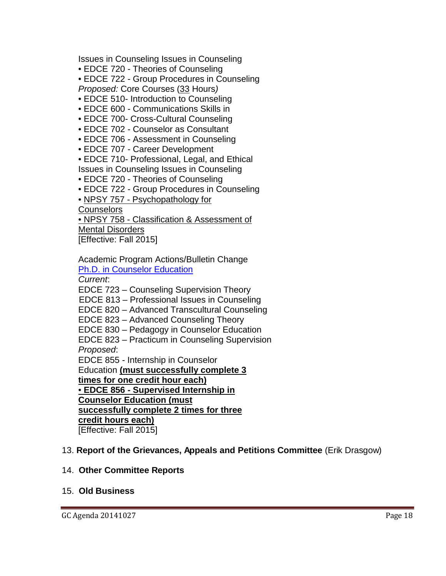Issues in Counseling Issues in Counseling

• EDCE 720 - Theories of Counseling

• EDCE 722 - Group Procedures in Counseling *Proposed:* Core Courses (33 Hours*)*

- EDCE 510- Introduction to Counseling
- EDCE 600 Communications Skills in
- EDCE 700- Cross-Cultural Counseling
- EDCE 702 Counselor as Consultant
- EDCE 706 Assessment in Counseling
- EDCE 707 Career Development

• EDCE 710- Professional, Legal, and Ethical Issues in Counseling Issues in Counseling

- EDCE 720 Theories of Counseling
- EDCE 722 Group Procedures in Counseling
- NPSY 757 Psychopathology for

**Counselors** 

• NPSY 758 - Classification & Assessment of

Mental Disorders

[Effective: Fall 2015]

Academic Program Actions/Bulletin Change [Ph.D. in Counselor Education](http://gradschool.sc.edu/facstaff/gradcouncil/2014/Counselor%20Ed%20PhD%20APA_Redacted1.pdf)

*Current*:

EDCE 723 – Counseling Supervision Theory

EDCE 813 – Professional Issues in Counseling

EDCE 820 – Advanced Transcultural Counseling

EDCE 823 – Advanced Counseling Theory

EDCE 830 – Pedagogy in Counselor Education

EDCE 823 – Practicum in Counseling Supervision *Proposed*:

EDCE 855 - Internship in Counselor

Education **(must successfully complete 3**

**times for one credit hour each)** • **EDCE 856 - Supervised Internship in**

**Counselor Education (must**

**successfully complete 2 times for three**

**credit hours each)**

[Effective: Fall 2015]

### 13. **Report of the Grievances, Appeals and Petitions Committee** (Erik Drasgow)

### 14. **Other Committee Reports**

#### 15. **Old Business**